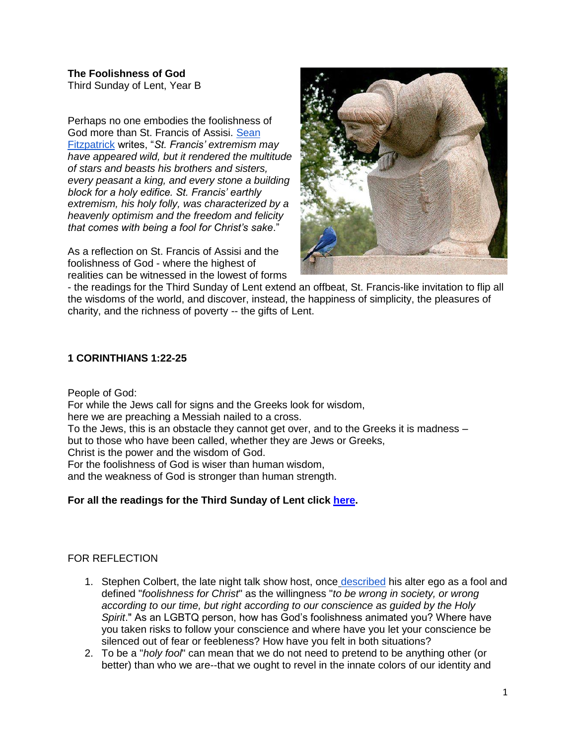**The Foolishness of God** Third Sunday of Lent, Year B

Perhaps no one embodies the foolishness of God more than St. Francis of Assisi. [Sean](https://catholicexchange.com/how-st-francis-made-a-fool-of-himself)  [Fitzpatrick](https://catholicexchange.com/how-st-francis-made-a-fool-of-himself) writes, "*St. Francis' extremism may have appeared wild, but it rendered the multitude of stars and beasts his brothers and sisters, every peasant a king, and every stone a building block for a holy edifice. St. Francis' earthly extremism, his holy folly, was characterized by a heavenly optimism and the freedom and felicity that comes with being a fool for Christ's sake*."

As a reflection on St. Francis of Assisi and the foolishness of God - where the highest of realities can be witnessed in the lowest of forms



- the readings for the Third Sunday of Lent extend an offbeat, St. Francis-like invitation to flip all the wisdoms of the world, and discover, instead, the happiness of simplicity, the pleasures of charity, and the richness of poverty -- the gifts of Lent.

#### **1 CORINTHIANS 1:22-25**

People of God:

For while the Jews call for signs and the Greeks look for wisdom, here we are preaching a Messiah nailed to a cross. To the Jews, this is an obstacle they cannot get over, and to the Greeks it is madness – but to those who have been called, whether they are Jews or Greeks, Christ is the power and the wisdom of God. For the foolishness of God is wiser than human wisdom, and the weakness of God is stronger than human strength.

# **For all the readings for the Third Sunday of Lent click [here.](https://bible.usccb.org/bible/readings/030721-YearB.cfm)**

# FOR REFLECTION

- 1. Stephen Colbert, the late night talk show host, once [described](https://www.thegospelcoalition.org/blogs/trevin-wax/stephen-colbert-on-being-a-fool-for-christ/) his alter ego as a fool and defined "*foolishness for Christ*" as the willingness "*to be wrong in society, or wrong according to our time, but right according to our conscience as guided by the Holy Spirit*." As an LGBTQ person, how has God's foolishness animated you? Where have you taken risks to follow your conscience and where have you let your conscience be silenced out of fear or feebleness? How have you felt in both situations?
- 2. To be a "*holy fool*" can mean that we do not need to pretend to be anything other (or better) than who we are--that we ought to revel in the innate colors of our identity and